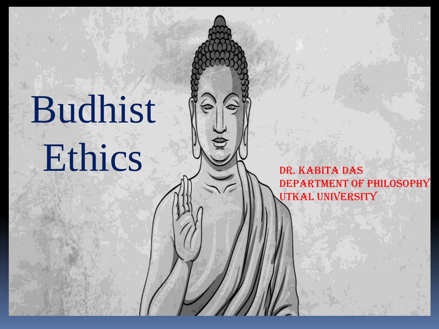# Budhist Ethics De R. KABITA DAS

€

Department of Philosophy UTKAL UNIVERSITY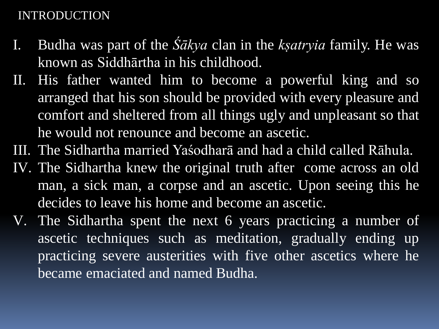#### INTRODUCTION

- I. Budha was part of the *Śākya* clan in the *kṣatryia* family. He was known as Siddhārtha in his childhood.
- II. His father wanted him to become a powerful king and so arranged that his son should be provided with every pleasure and comfort and sheltered from all things ugly and unpleasant so that he would not renounce and become an ascetic.
- III. The Sidhartha married Yaśodharā and had a child called Rāhula.
- IV. The Sidhartha knew the original truth after come across an old man, a sick man, a corpse and an ascetic. Upon seeing this he decides to leave his home and become an ascetic.
- V. The Sidhartha spent the next 6 years practicing a number of ascetic techniques such as meditation, gradually ending up practicing severe austerities with five other ascetics where he became emaciated and named Budha.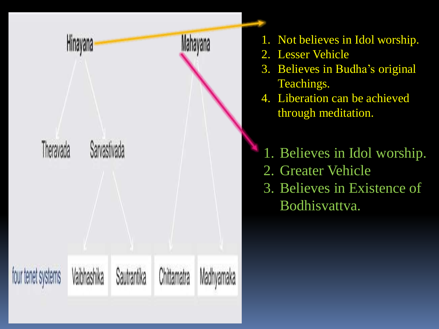

- 1. Not believes in Idol worship.
- 2. Lesser Vehicle
- 3. Believes in Budha's original Teachings.
- 4. Liberation can be achieved through meditation.
- 1. Believes in Idol worship. 2. Greater Vehicle 3. Believes in Existence of Bodhisvattva.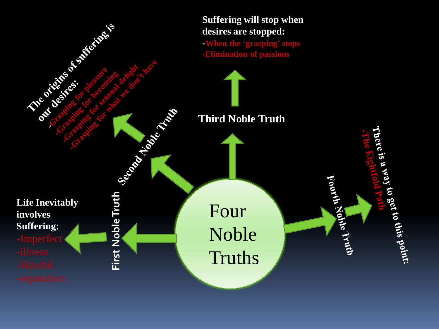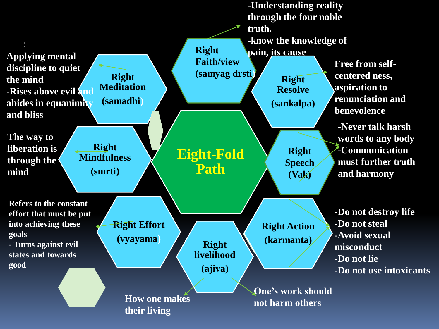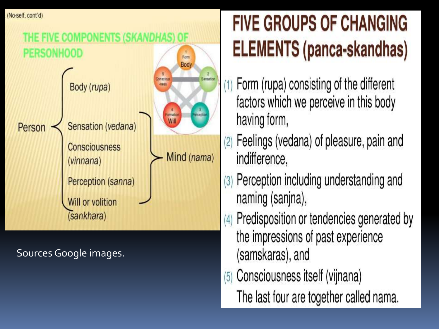(No-self, cont'd)



Sources Google images.

## **FIVE GROUPS OF CHANGING ELEMENTS (panca-skandhas)**

- Form (rupa) consisting of the different factors which we perceive in this body having form,
- Feelings (vedana) of pleasure, pain and  $(2)$ indifference,
- Perception including understanding and  $(3)$ naming (sanjna),
- Predisposition or tendencies generated by  $(4)$ the impressions of past experience (samskaras), and
- Consciousness itself (vijnana)  $(5)$ The last four are together called nama.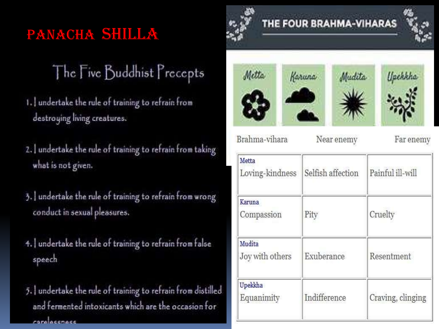## PANACHA SHILLA

## The Five Buddhist Precepts

- 1. undertake the rule of training to refrain from destroying living creatures.
- 2. Jundertake the rule of training to refrain from taking what is not given.
- 3. Jundertake the rule of training to refrain from wrong conduct in sexual pleasures.
- 4. undertake the rule of training to refrain from false speech
- 5. Jundertake the rule of training to refrain from distilled and fermented intoxicants which are the occasion for care escriess











Brahma-vihara

Near enemy

Far enemy

| Metta<br>Loving-kindness  | Selfish affection | Painful ill-will  |
|---------------------------|-------------------|-------------------|
| Karuna<br>Compassion      | Pity              | Cruelty           |
| Mudita<br>Joy with others | Exuberance        | Resentment        |
| Upekkha<br>Equanimity     | Indifference      | Craving, clinging |